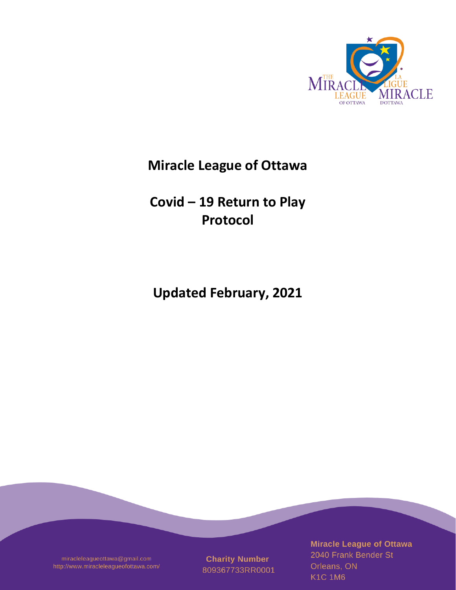

# **Miracle League of Ottawa**

**Covid – 19 Return to Play Protocol**

**Updated February, 2021**

miracleleagueottawa@gmail.com http://www.miracleleagueofottawa.com/

**Charity Number** 809367733RR0001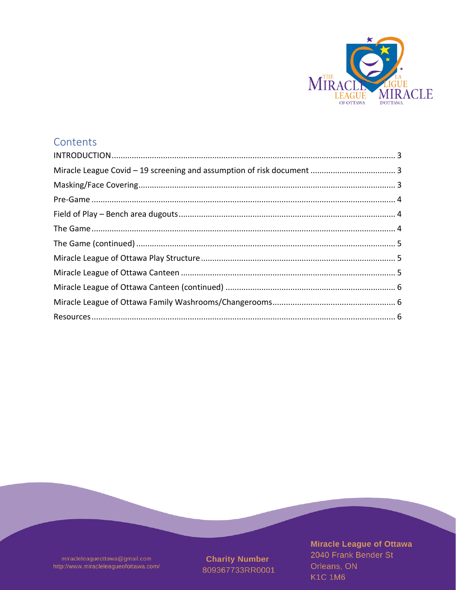

## Contents

miracleleagueottawa@gmail.com http://www.miracleleagueofottawa.com/

**Charity Number** 809367733RR0001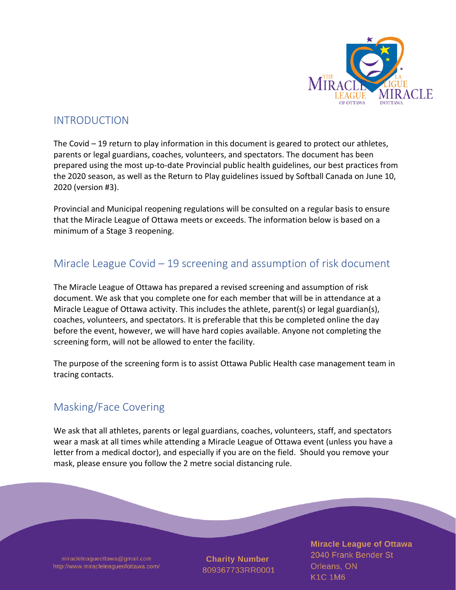

#### <span id="page-2-0"></span>INTRODUCTION

The Covid – 19 return to play information in this document is geared to protect our athletes, parents or legal guardians, coaches, volunteers, and spectators. The document has been prepared using the most up-to-date Provincial public health guidelines, our best practices from the 2020 season, as well as the Return to Play guidelines issued by Softball Canada on June 10, 2020 (version #3).

Provincial and Municipal reopening regulations will be consulted on a regular basis to ensure that the Miracle League of Ottawa meets or exceeds. The information below is based on a minimum of a Stage 3 reopening.

#### <span id="page-2-1"></span>Miracle League Covid – 19 screening and assumption of risk document

The Miracle League of Ottawa has prepared a revised screening and assumption of risk document. We ask that you complete one for each member that will be in attendance at a Miracle League of Ottawa activity. This includes the athlete, parent(s) or legal guardian(s), coaches, volunteers, and spectators. It is preferable that this be completed online the day before the event, however, we will have hard copies available. Anyone not completing the screening form, will not be allowed to enter the facility.

The purpose of the screening form is to assist Ottawa Public Health case management team in tracing contacts.

## <span id="page-2-2"></span>Masking/Face Covering

We ask that all athletes, parents or legal guardians, coaches, volunteers, staff, and spectators wear a mask at all times while attending a Miracle League of Ottawa event (unless you have a letter from a medical doctor), and especially if you are on the field. Should you remove your mask, please ensure you follow the 2 metre social distancing rule.

miracleleagueottawa@gmail.com http://www.miracleleagueofottawa.com/

**Charity Number** 809367733RR0001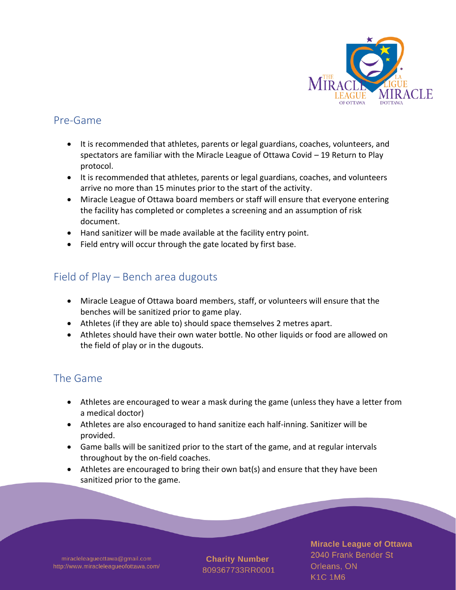

#### <span id="page-3-0"></span>Pre-Game

- It is recommended that athletes, parents or legal guardians, coaches, volunteers, and spectators are familiar with the Miracle League of Ottawa Covid – 19 Return to Play protocol.
- It is recommended that athletes, parents or legal guardians, coaches, and volunteers arrive no more than 15 minutes prior to the start of the activity.
- Miracle League of Ottawa board members or staff will ensure that everyone entering the facility has completed or completes a screening and an assumption of risk document.
- Hand sanitizer will be made available at the facility entry point.
- Field entry will occur through the gate located by first base.

## <span id="page-3-1"></span>Field of Play – Bench area dugouts

- Miracle League of Ottawa board members, staff, or volunteers will ensure that the benches will be sanitized prior to game play.
- Athletes (if they are able to) should space themselves 2 metres apart.
- Athletes should have their own water bottle. No other liquids or food are allowed on the field of play or in the dugouts.

## <span id="page-3-2"></span>The Game

- Athletes are encouraged to wear a mask during the game (unless they have a letter from a medical doctor)
- Athletes are also encouraged to hand sanitize each half-inning. Sanitizer will be provided.
- Game balls will be sanitized prior to the start of the game, and at regular intervals throughout by the on-field coaches.
- Athletes are encouraged to bring their own bat(s) and ensure that they have been sanitized prior to the game.

miracleleagueottawa@gmail.com http://www.miracleleagueofottawa.com/

**Charity Number** 809367733RR0001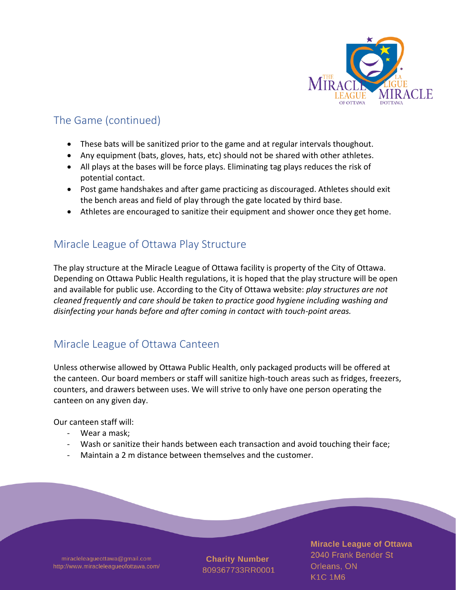

## <span id="page-4-0"></span>The Game (continued)

- These bats will be sanitized prior to the game and at regular intervals thoughout.
- Any equipment (bats, gloves, hats, etc) should not be shared with other athletes.
- All plays at the bases will be force plays. Eliminating tag plays reduces the risk of potential contact.
- Post game handshakes and after game practicing as discouraged. Athletes should exit the bench areas and field of play through the gate located by third base.
- Athletes are encouraged to sanitize their equipment and shower once they get home.

#### <span id="page-4-1"></span>Miracle League of Ottawa Play Structure

The play structure at the Miracle League of Ottawa facility is property of the City of Ottawa. Depending on Ottawa Public Health regulations, it is hoped that the play structure will be open and available for public use. According to the City of Ottawa website: *play structures are not cleaned frequently and care should be taken to practice good hygiene including washing and disinfecting your hands before and after coming in contact with touch-point areas.*

## <span id="page-4-2"></span>Miracle League of Ottawa Canteen

Unless otherwise allowed by Ottawa Public Health, only packaged products will be offered at the canteen. Our board members or staff will sanitize high-touch areas such as fridges, freezers, counters, and drawers between uses. We will strive to only have one person operating the canteen on any given day.

Our canteen staff will:

- Wear a mask;
- Wash or sanitize their hands between each transaction and avoid touching their face;
- Maintain a 2 m distance between themselves and the customer.

miracleleagueottawa@gmail.com http://www.miracleleagueofottawa.com/

**Charity Number** 809367733RR0001